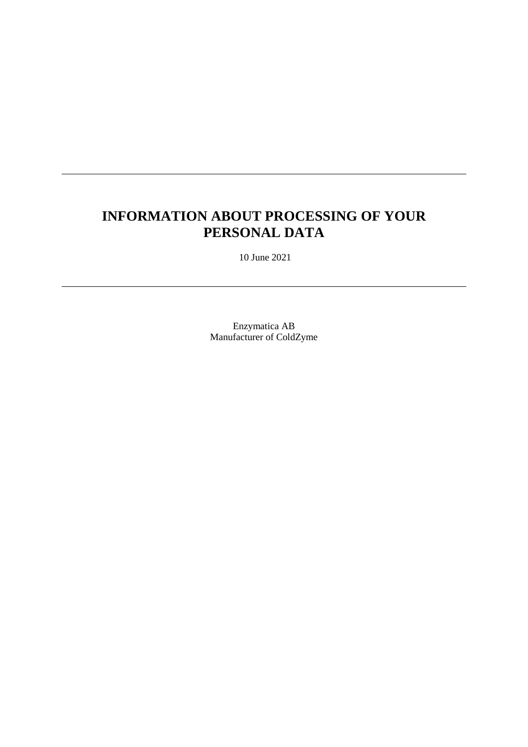# **INFORMATION ABOUT PROCESSING OF YOUR PERSONAL DATA**

10 June 2021

Enzymatica AB Manufacturer of ColdZyme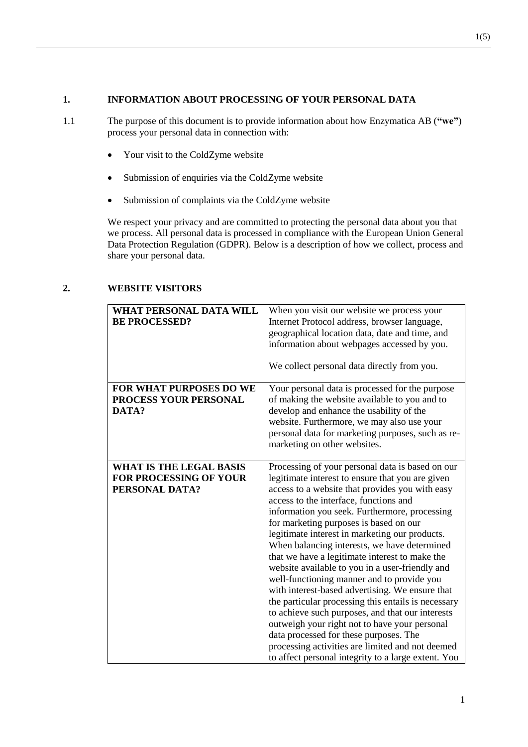#### **1. INFORMATION ABOUT PROCESSING OF YOUR PERSONAL DATA**

- 1.1 The purpose of this document is to provide information about how Enzymatica AB (**"we"**) process your personal data in connection with:
	- Your visit to the ColdZyme website
	- Submission of enquiries via the ColdZyme website
	- Submission of complaints via the ColdZyme website

We respect your privacy and are committed to protecting the personal data about you that we process. All personal data is processed in compliance with the European Union General Data Protection Regulation (GDPR). Below is a description of how we collect, process and share your personal data.

| WHAT PERSONAL DATA WILL<br><b>BE PROCESSED?</b>                            | When you visit our website we process your<br>Internet Protocol address, browser language,<br>geographical location data, date and time, and<br>information about webpages accessed by you.<br>We collect personal data directly from you.                                                                                                                                                                                                                                                                                                                                                                                                                                                                                                                                                                                                                                                                            |
|----------------------------------------------------------------------------|-----------------------------------------------------------------------------------------------------------------------------------------------------------------------------------------------------------------------------------------------------------------------------------------------------------------------------------------------------------------------------------------------------------------------------------------------------------------------------------------------------------------------------------------------------------------------------------------------------------------------------------------------------------------------------------------------------------------------------------------------------------------------------------------------------------------------------------------------------------------------------------------------------------------------|
| <b>FOR WHAT PURPOSES DO WE</b><br>PROCESS YOUR PERSONAL<br>DATA?           | Your personal data is processed for the purpose<br>of making the website available to you and to<br>develop and enhance the usability of the<br>website. Furthermore, we may also use your<br>personal data for marketing purposes, such as re-<br>marketing on other websites.                                                                                                                                                                                                                                                                                                                                                                                                                                                                                                                                                                                                                                       |
| <b>WHAT IS THE LEGAL BASIS</b><br>FOR PROCESSING OF YOUR<br>PERSONAL DATA? | Processing of your personal data is based on our<br>legitimate interest to ensure that you are given<br>access to a website that provides you with easy<br>access to the interface, functions and<br>information you seek. Furthermore, processing<br>for marketing purposes is based on our<br>legitimate interest in marketing our products.<br>When balancing interests, we have determined<br>that we have a legitimate interest to make the<br>website available to you in a user-friendly and<br>well-functioning manner and to provide you<br>with interest-based advertising. We ensure that<br>the particular processing this entails is necessary<br>to achieve such purposes, and that our interests<br>outweigh your right not to have your personal<br>data processed for these purposes. The<br>processing activities are limited and not deemed<br>to affect personal integrity to a large extent. You |

#### **2. WEBSITE VISITORS**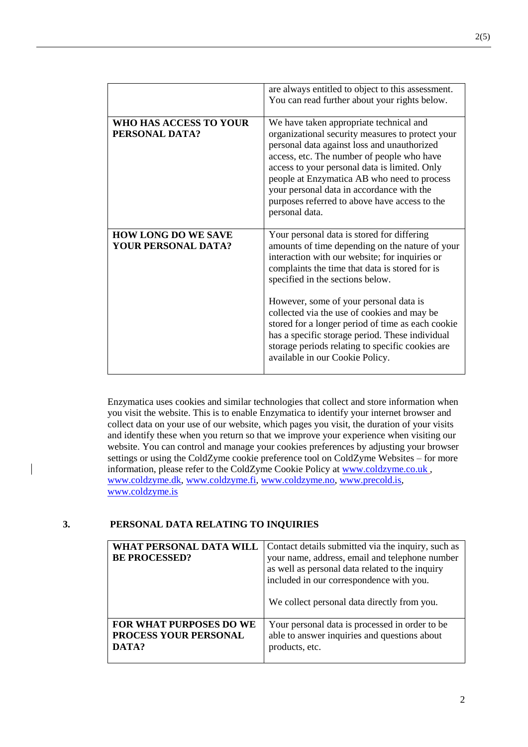|                                                   | are always entitled to object to this assessment.<br>You can read further about your rights below.                                                                                                                                                                                                                                                                                                                                                                                                                            |
|---------------------------------------------------|-------------------------------------------------------------------------------------------------------------------------------------------------------------------------------------------------------------------------------------------------------------------------------------------------------------------------------------------------------------------------------------------------------------------------------------------------------------------------------------------------------------------------------|
| WHO HAS ACCESS TO YOUR<br>PERSONAL DATA?          | We have taken appropriate technical and<br>organizational security measures to protect your<br>personal data against loss and unauthorized<br>access, etc. The number of people who have<br>access to your personal data is limited. Only<br>people at Enzymatica AB who need to process<br>your personal data in accordance with the<br>purposes referred to above have access to the<br>personal data.                                                                                                                      |
| <b>HOW LONG DO WE SAVE</b><br>YOUR PERSONAL DATA? | Your personal data is stored for differing<br>amounts of time depending on the nature of your<br>interaction with our website; for inquiries or<br>complaints the time that data is stored for is<br>specified in the sections below.<br>However, some of your personal data is<br>collected via the use of cookies and may be<br>stored for a longer period of time as each cookie<br>has a specific storage period. These individual<br>storage periods relating to specific cookies are<br>available in our Cookie Policy. |

Enzymatica uses cookies and similar technologies that collect and store information when you visit the website. This is to enable Enzymatica to identify your internet browser and collect data on your use of our website, which pages you visit, the duration of your visits and identify these when you return so that we improve your experience when visiting our website. You can control and manage your cookies preferences by adjusting your browser settings or using the ColdZyme cookie preference tool on ColdZyme Websites – for more information, please refer to the ColdZyme Cookie Policy at [www.coldzyme.co.uk](http://www.coldzyme.co.uk/), [www.coldzyme.dk,](http://www.coldzyme.dk/) [www.coldzyme.fi,](http://www.coldzyme.fi/) [www.coldzyme.no,](http://www.coldzyme.no/) [www.precold.is,](http://www.precold.is/) [www.coldzyme.is](http://www.coldzyme.is/)

#### **3. PERSONAL DATA RELATING TO INQUIRIES**

| WHAT PERSONAL DATA WILL<br><b>BE PROCESSED?</b> | Contact details submitted via the inquiry, such as<br>your name, address, email and telephone number<br>as well as personal data related to the inquiry<br>included in our correspondence with you.<br>We collect personal data directly from you. |
|-------------------------------------------------|----------------------------------------------------------------------------------------------------------------------------------------------------------------------------------------------------------------------------------------------------|
| <b>FOR WHAT PURPOSES DO WE</b>                  | Your personal data is processed in order to be                                                                                                                                                                                                     |
| PROCESS YOUR PERSONAL                           | able to answer inquiries and questions about                                                                                                                                                                                                       |
| DATA?                                           | products, etc.                                                                                                                                                                                                                                     |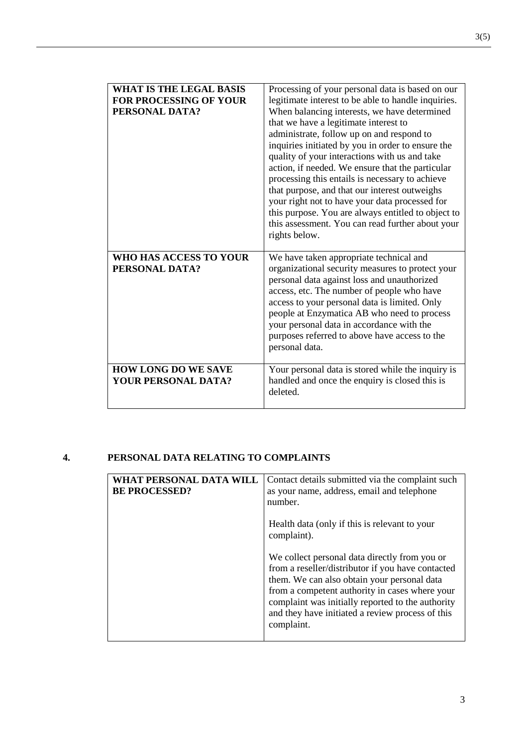| <b>WHAT IS THE LEGAL BASIS</b><br><b>FOR PROCESSING OF YOUR</b><br>PERSONAL DATA? | Processing of your personal data is based on our<br>legitimate interest to be able to handle inquiries.<br>When balancing interests, we have determined<br>that we have a legitimate interest to<br>administrate, follow up on and respond to<br>inquiries initiated by you in order to ensure the<br>quality of your interactions with us and take<br>action, if needed. We ensure that the particular<br>processing this entails is necessary to achieve<br>that purpose, and that our interest outweighs<br>your right not to have your data processed for<br>this purpose. You are always entitled to object to<br>this assessment. You can read further about your<br>rights below. |
|-----------------------------------------------------------------------------------|------------------------------------------------------------------------------------------------------------------------------------------------------------------------------------------------------------------------------------------------------------------------------------------------------------------------------------------------------------------------------------------------------------------------------------------------------------------------------------------------------------------------------------------------------------------------------------------------------------------------------------------------------------------------------------------|
| WHO HAS ACCESS TO YOUR<br>PERSONAL DATA?                                          | We have taken appropriate technical and<br>organizational security measures to protect your<br>personal data against loss and unauthorized<br>access, etc. The number of people who have<br>access to your personal data is limited. Only<br>people at Enzymatica AB who need to process<br>your personal data in accordance with the<br>purposes referred to above have access to the<br>personal data.                                                                                                                                                                                                                                                                                 |
| <b>HOW LONG DO WE SAVE</b><br><b>YOUR PERSONAL DATA?</b>                          | Your personal data is stored while the inquiry is<br>handled and once the enquiry is closed this is<br>deleted.                                                                                                                                                                                                                                                                                                                                                                                                                                                                                                                                                                          |

## **4. PERSONAL DATA RELATING TO COMPLAINTS**

| WHAT PERSONAL DAT<br><b>BE PROCESSED?</b> | Contact details submitted via the complaint such<br>as your name, address, email and telephone<br>number.                                                                                                                                                                                                                  |
|-------------------------------------------|----------------------------------------------------------------------------------------------------------------------------------------------------------------------------------------------------------------------------------------------------------------------------------------------------------------------------|
|                                           | Health data (only if this is relevant to your<br>complaint).                                                                                                                                                                                                                                                               |
|                                           | We collect personal data directly from you or<br>from a reseller/distributor if you have contacted<br>them. We can also obtain your personal data<br>from a competent authority in cases where your<br>complaint was initially reported to the authority<br>and they have initiated a review process of this<br>complaint. |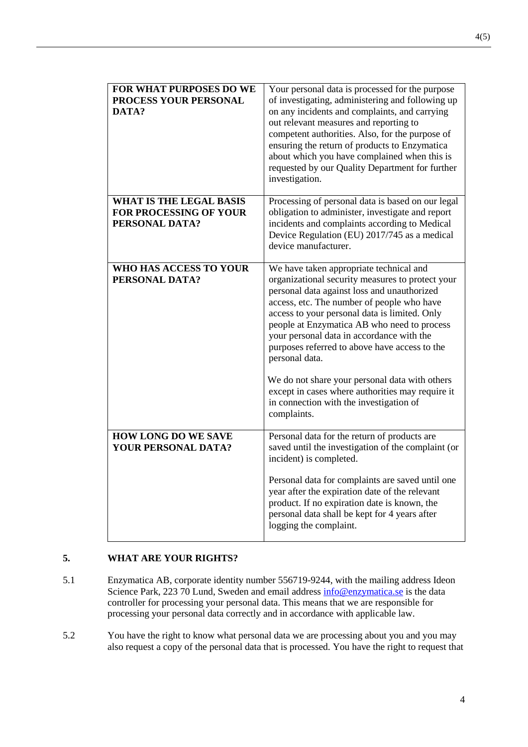| FOR WHAT PURPOSES DO WE<br>PROCESS YOUR PERSONAL<br>DATA?                  | Your personal data is processed for the purpose<br>of investigating, administering and following up<br>on any incidents and complaints, and carrying<br>out relevant measures and reporting to<br>competent authorities. Also, for the purpose of<br>ensuring the return of products to Enzymatica<br>about which you have complained when this is<br>requested by our Quality Department for further<br>investigation.                                                                                                                                   |
|----------------------------------------------------------------------------|-----------------------------------------------------------------------------------------------------------------------------------------------------------------------------------------------------------------------------------------------------------------------------------------------------------------------------------------------------------------------------------------------------------------------------------------------------------------------------------------------------------------------------------------------------------|
| <b>WHAT IS THE LEGAL BASIS</b><br>FOR PROCESSING OF YOUR<br>PERSONAL DATA? | Processing of personal data is based on our legal<br>obligation to administer, investigate and report<br>incidents and complaints according to Medical<br>Device Regulation (EU) 2017/745 as a medical<br>device manufacturer.                                                                                                                                                                                                                                                                                                                            |
| WHO HAS ACCESS TO YOUR<br>PERSONAL DATA?                                   | We have taken appropriate technical and<br>organizational security measures to protect your<br>personal data against loss and unauthorized<br>access, etc. The number of people who have<br>access to your personal data is limited. Only<br>people at Enzymatica AB who need to process<br>your personal data in accordance with the<br>purposes referred to above have access to the<br>personal data.<br>We do not share your personal data with others<br>except in cases where authorities may require it<br>in connection with the investigation of |
| <b>HOW LONG DO WE SAVE</b>                                                 | complaints.<br>Personal data for the return of products are                                                                                                                                                                                                                                                                                                                                                                                                                                                                                               |
| YOUR PERSONAL DATA?                                                        | saved until the investigation of the complaint (or<br>incident) is completed.<br>Personal data for complaints are saved until one<br>year after the expiration date of the relevant<br>product. If no expiration date is known, the<br>personal data shall be kept for 4 years after<br>logging the complaint.                                                                                                                                                                                                                                            |

## **5. WHAT ARE YOUR RIGHTS?**

- 5.1 Enzymatica AB, corporate identity number 556719-9244, with the mailing address Ideon Science Park, 223 70 Lund, Sweden and email address [info@enzymatica.se](mailto:info@enzymatica.se) is the data controller for processing your personal data. This means that we are responsible for processing your personal data correctly and in accordance with applicable law.
- 5.2 You have the right to know what personal data we are processing about you and you may also request a copy of the personal data that is processed. You have the right to request that